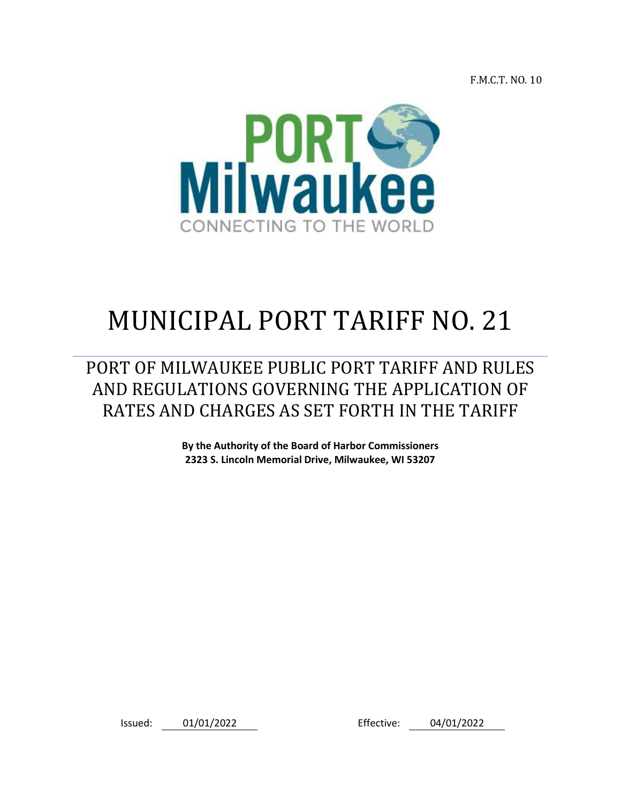F.M.C.T. NO. 10



# MUNICIPAL PORT TARIFF NO. 21

PORT OF MILWAUKEE PUBLIC PORT TARIFF AND RULES AND REGULATIONS GOVERNING THE APPLICATION OF RATES AND CHARGES AS SET FORTH IN THE TARIFF

> **By the Authority of the Board of Harbor Commissioners 2323 S. Lincoln Memorial Drive, Milwaukee, WI 53207**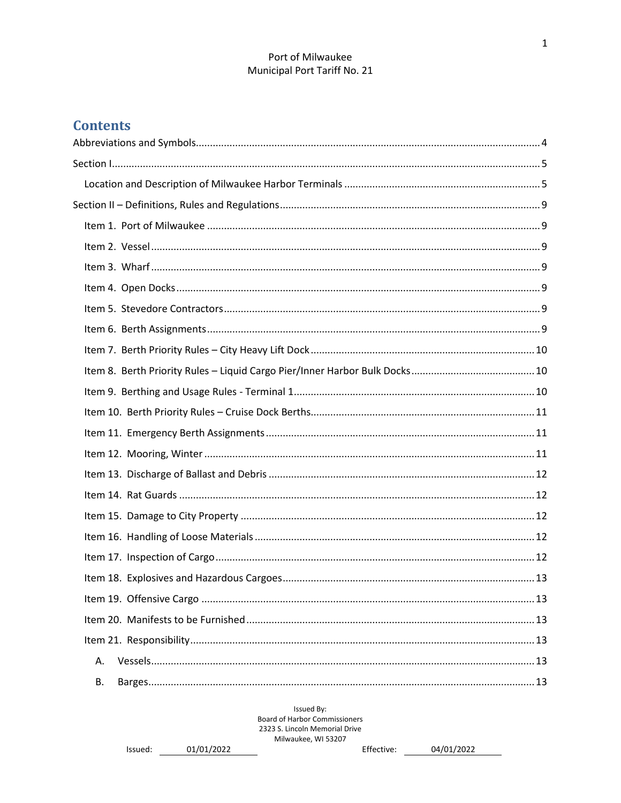# **Contents**

| А. |  |
|----|--|
| В. |  |

Issued By: Board of Harbor Commissioners 2323 S. Lincoln Memorial Drive Milwaukee, WI 53207

```
Issued: 01/01/2022
```
Effective: 04/01/2022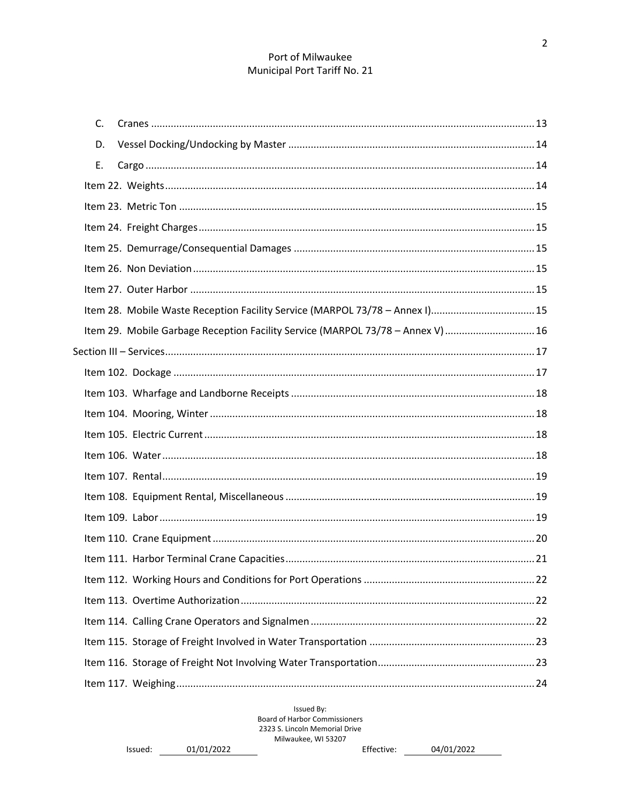| C.                                                                              |  |
|---------------------------------------------------------------------------------|--|
| D.                                                                              |  |
| Ε.                                                                              |  |
|                                                                                 |  |
|                                                                                 |  |
|                                                                                 |  |
|                                                                                 |  |
|                                                                                 |  |
|                                                                                 |  |
| Item 28. Mobile Waste Reception Facility Service (MARPOL 73/78 - Annex I)15     |  |
| Item 29. Mobile Garbage Reception Facility Service (MARPOL 73/78 - Annex V)  16 |  |
|                                                                                 |  |
|                                                                                 |  |
|                                                                                 |  |
|                                                                                 |  |
|                                                                                 |  |
|                                                                                 |  |
|                                                                                 |  |
|                                                                                 |  |
|                                                                                 |  |
|                                                                                 |  |
|                                                                                 |  |
|                                                                                 |  |
|                                                                                 |  |
|                                                                                 |  |
|                                                                                 |  |
|                                                                                 |  |
|                                                                                 |  |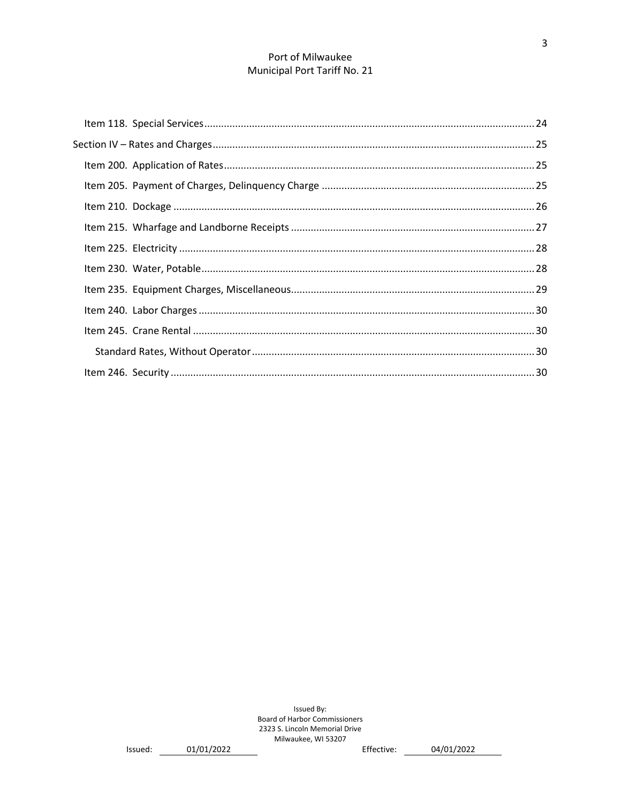Effective: 04/01/2022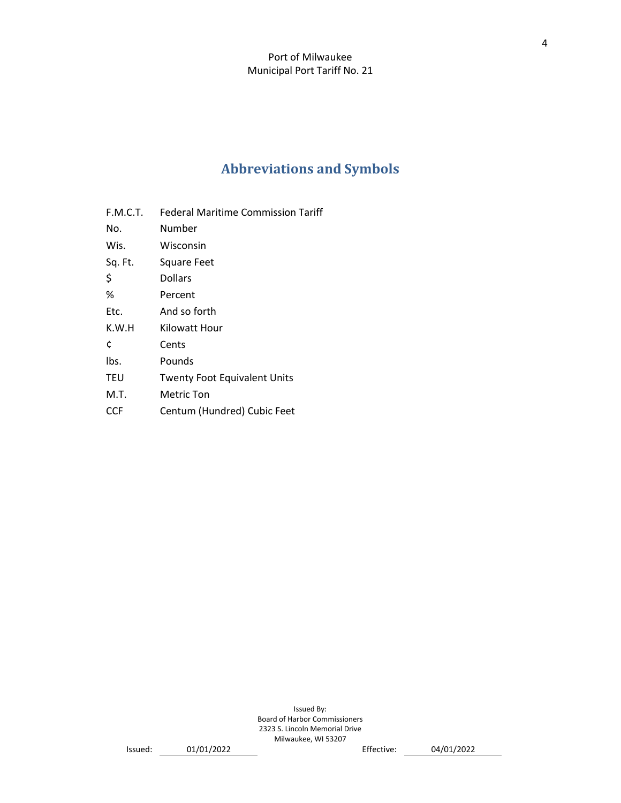# **Abbreviations and Symbols**

- <span id="page-4-0"></span>F.M.C.T. Federal Maritime Commission Tariff
- No. Number
- Wis. Wisconsin
- Sq. Ft. Square Feet
- \$ Dollars
- % Percent
- Etc. And so forth
- K.W.H Kilowatt Hour
- ¢ Cents
- lbs. Pounds
- TEU Twenty Foot Equivalent Units
- M.T. Metric Ton
- CCF Centum (Hundred) Cubic Feet

Issued By: Board of Harbor Commissioners 2323 S. Lincoln Memorial Drive Milwaukee, WI 53207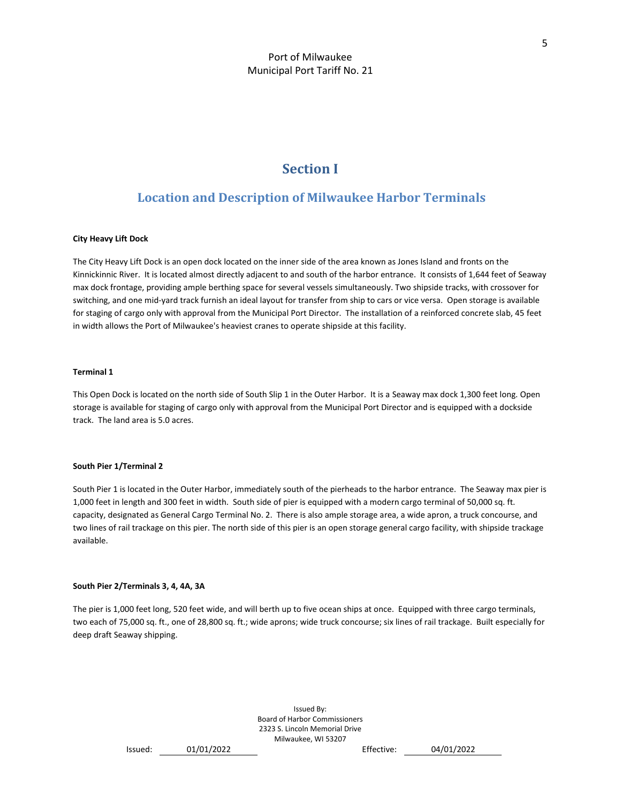# **Section I**

# <span id="page-5-1"></span><span id="page-5-0"></span>**Location and Description of Milwaukee Harbor Terminals**

#### **City Heavy Lift Dock**

The City Heavy Lift Dock is an open dock located on the inner side of the area known as Jones Island and fronts on the Kinnickinnic River. It is located almost directly adjacent to and south of the harbor entrance. It consists of 1,644 feet of Seaway max dock frontage, providing ample berthing space for several vessels simultaneously. Two shipside tracks, with crossover for switching, and one mid-yard track furnish an ideal layout for transfer from ship to cars or vice versa. Open storage is available for staging of cargo only with approval from the Municipal Port Director. The installation of a reinforced concrete slab, 45 feet in width allows the Port of Milwaukee's heaviest cranes to operate shipside at this facility.

#### **Terminal 1**

This Open Dock is located on the north side of South Slip 1 in the Outer Harbor. It is a Seaway max dock 1,300 feet long. Open storage is available for staging of cargo only with approval from the Municipal Port Director and is equipped with a dockside track. The land area is 5.0 acres.

#### **South Pier 1/Terminal 2**

South Pier 1 is located in the Outer Harbor, immediately south of the pierheads to the harbor entrance. The Seaway max pier is 1,000 feet in length and 300 feet in width. South side of pier is equipped with a modern cargo terminal of 50,000 sq. ft. capacity, designated as General Cargo Terminal No. 2. There is also ample storage area, a wide apron, a truck concourse, and two lines of rail trackage on this pier. The north side of this pier is an open storage general cargo facility, with shipside trackage available.

#### **South Pier 2/Terminals 3, 4, 4A, 3A**

The pier is 1,000 feet long, 520 feet wide, and will berth up to five ocean ships at once. Equipped with three cargo terminals, two each of 75,000 sq. ft., one of 28,800 sq. ft.; wide aprons; wide truck concourse; six lines of rail trackage. Built especially for deep draft Seaway shipping.

```
Issued: 01/01/2022 Effective: 04/01/2022
```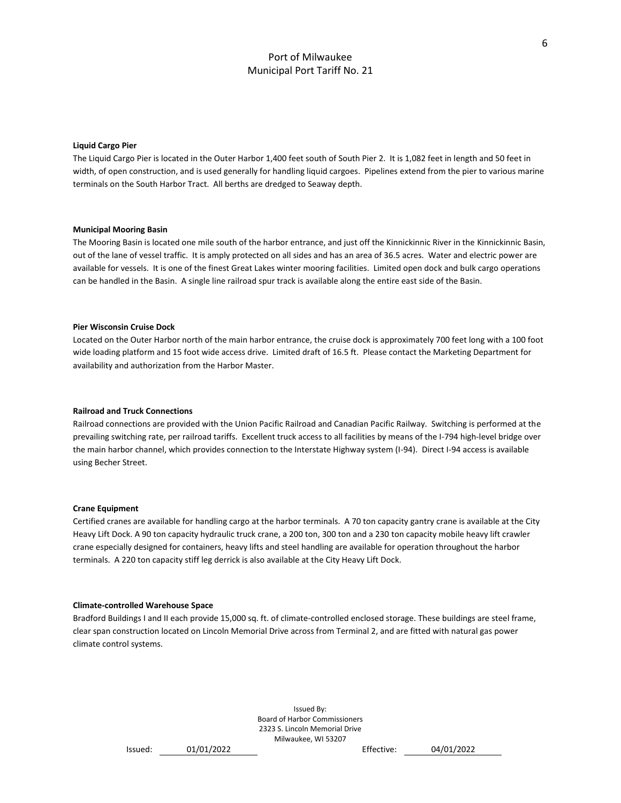#### **Liquid Cargo Pier**

The Liquid Cargo Pier is located in the Outer Harbor 1,400 feet south of South Pier 2. It is 1,082 feet in length and 50 feet in width, of open construction, and is used generally for handling liquid cargoes. Pipelines extend from the pier to various marine terminals on the South Harbor Tract. All berths are dredged to Seaway depth.

#### **Municipal Mooring Basin**

The Mooring Basin is located one mile south of the harbor entrance, and just off the Kinnickinnic River in the Kinnickinnic Basin, out of the lane of vessel traffic. It is amply protected on all sides and has an area of 36.5 acres. Water and electric power are available for vessels. It is one of the finest Great Lakes winter mooring facilities. Limited open dock and bulk cargo operations can be handled in the Basin. A single line railroad spur track is available along the entire east side of the Basin.

#### **Pier Wisconsin Cruise Dock**

Located on the Outer Harbor north of the main harbor entrance, the cruise dock is approximately 700 feet long with a 100 foot wide loading platform and 15 foot wide access drive. Limited draft of 16.5 ft. Please contact the Marketing Department for availability and authorization from the Harbor Master.

#### **Railroad and Truck Connections**

Railroad connections are provided with the Union Pacific Railroad and Canadian Pacific Railway. Switching is performed at the prevailing switching rate, per railroad tariffs. Excellent truck access to all facilities by means of the I-794 high-level bridge over the main harbor channel, which provides connection to the Interstate Highway system (I-94). Direct I-94 access is available using Becher Street.

#### **Crane Equipment**

Certified cranes are available for handling cargo at the harbor terminals. A 70 ton capacity gantry crane is available at the City Heavy Lift Dock. A 90 ton capacity hydraulic truck crane, a 200 ton, 300 ton and a 230 ton capacity mobile heavy lift crawler crane especially designed for containers, heavy lifts and steel handling are available for operation throughout the harbor terminals. A 220 ton capacity stiff leg derrick is also available at the City Heavy Lift Dock.

#### **Climate-controlled Warehouse Space**

Bradford Buildings I and II each provide 15,000 sq. ft. of climate-controlled enclosed storage. These buildings are steel frame, clear span construction located on Lincoln Memorial Drive across from Terminal 2, and are fitted with natural gas power climate control systems.

```
Issued: 01/01/2022 Effective: 04/01/2022
```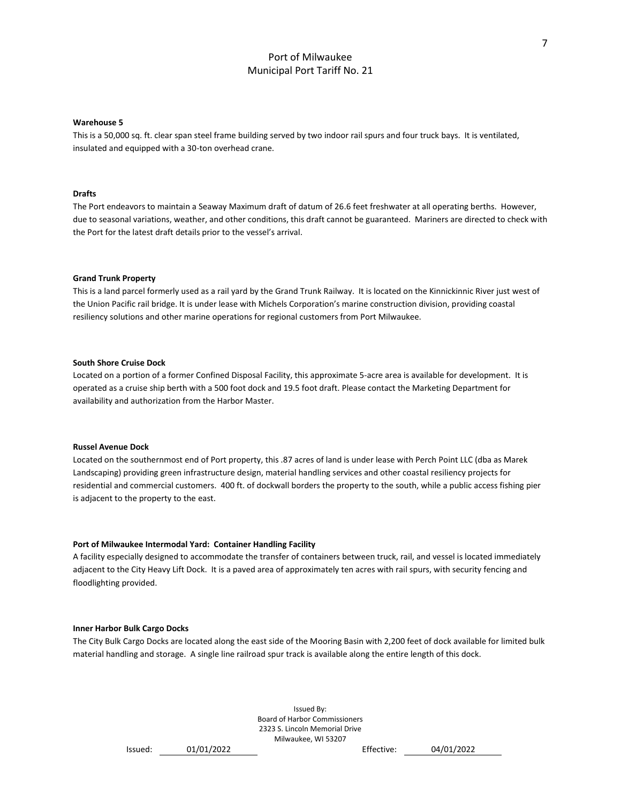#### **Warehouse 5**

This is a 50,000 sq. ft. clear span steel frame building served by two indoor rail spurs and four truck bays. It is ventilated, insulated and equipped with a 30-ton overhead crane.

#### **Drafts**

The Port endeavors to maintain a Seaway Maximum draft of datum of 26.6 feet freshwater at all operating berths. However, due to seasonal variations, weather, and other conditions, this draft cannot be guaranteed. Mariners are directed to check with the Port for the latest draft details prior to the vessel's arrival.

#### **Grand Trunk Property**

This is a land parcel formerly used as a rail yard by the Grand Trunk Railway. It is located on the Kinnickinnic River just west of the Union Pacific rail bridge. It is under lease with Michels Corporation's marine construction division, providing coastal resiliency solutions and other marine operations for regional customers from Port Milwaukee.

#### **South Shore Cruise Dock**

Located on a portion of a former Confined Disposal Facility, this approximate 5-acre area is available for development. It is operated as a cruise ship berth with a 500 foot dock and 19.5 foot draft. Please contact the Marketing Department for availability and authorization from the Harbor Master.

#### **Russel Avenue Dock**

Located on the southernmost end of Port property, this .87 acres of land is under lease with Perch Point LLC (dba as Marek Landscaping) providing green infrastructure design, material handling services and other coastal resiliency projects for residential and commercial customers. 400 ft. of dockwall borders the property to the south, while a public access fishing pier is adjacent to the property to the east.

#### **Port of Milwaukee Intermodal Yard: Container Handling Facility**

A facility especially designed to accommodate the transfer of containers between truck, rail, and vessel is located immediately adjacent to the City Heavy Lift Dock. It is a paved area of approximately ten acres with rail spurs, with security fencing and floodlighting provided.

#### **Inner Harbor Bulk Cargo Docks**

The City Bulk Cargo Docks are located along the east side of the Mooring Basin with 2,200 feet of dock available for limited bulk material handling and storage. A single line railroad spur track is available along the entire length of this dock.

```
Issued: 01/01/2022 Effective: 04/01/2022
```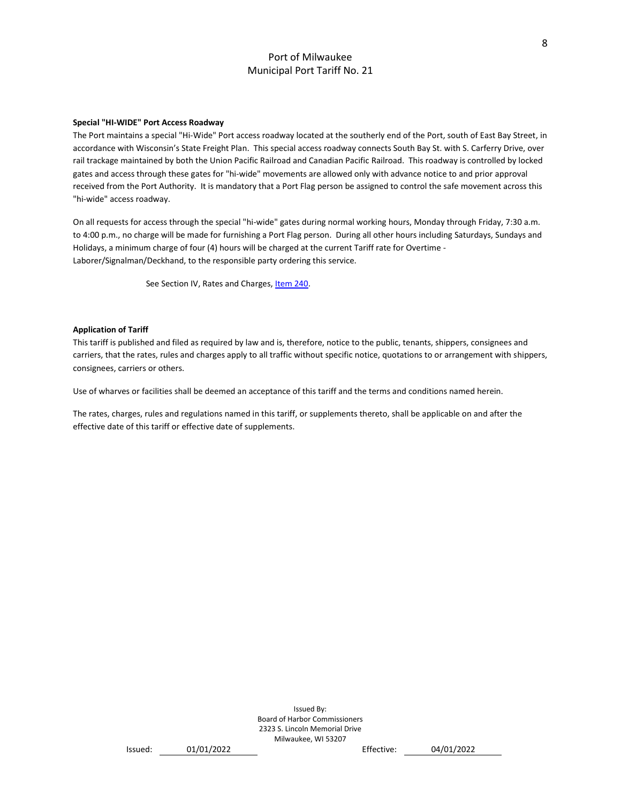#### **Special "HI-WIDE" Port Access Roadway**

The Port maintains a special "Hi-Wide" Port access roadway located at the southerly end of the Port, south of East Bay Street, in accordance with Wisconsin's State Freight Plan. This special access roadway connects South Bay St. with S. Carferry Drive, over rail trackage maintained by both the Union Pacific Railroad and Canadian Pacific Railroad. This roadway is controlled by locked gates and access through these gates for "hi-wide" movements are allowed only with advance notice to and prior approval received from the Port Authority. It is mandatory that a Port Flag person be assigned to control the safe movement across this "hi-wide" access roadway.

On all requests for access through the special "hi-wide" gates during normal working hours, Monday through Friday, 7:30 a.m. to 4:00 p.m., no charge will be made for furnishing a Port Flag person. During all other hours including Saturdays, Sundays and Holidays, a minimum charge of four (4) hours will be charged at the current Tariff rate for Overtime - Laborer/Signalman/Deckhand, to the responsible party ordering this service.

See Section IV, Rates and Charges[, Item 240.](#page-30-0)

#### **Application of Tariff**

This tariff is published and filed as required by law and is, therefore, notice to the public, tenants, shippers, consignees and carriers, that the rates, rules and charges apply to all traffic without specific notice, quotations to or arrangement with shippers, consignees, carriers or others.

Use of wharves or facilities shall be deemed an acceptance of this tariff and the terms and conditions named herein.

The rates, charges, rules and regulations named in this tariff, or supplements thereto, shall be applicable on and after the effective date of this tariff or effective date of supplements.

> Issued By: Board of Harbor Commissioners 2323 S. Lincoln Memorial Drive Milwaukee, WI 53207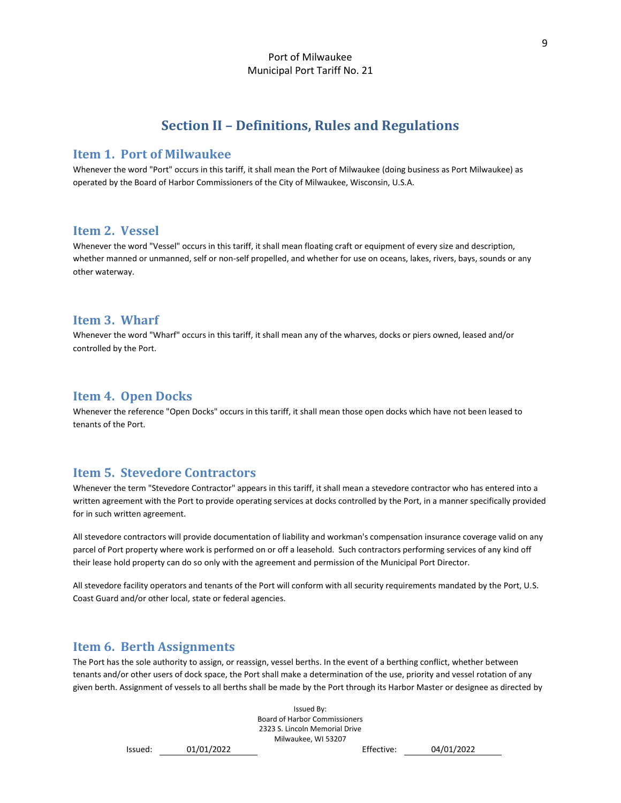# **Section II – Definitions, Rules and Regulations**

### <span id="page-9-1"></span><span id="page-9-0"></span>**Item 1. Port of Milwaukee**

Whenever the word "Port" occurs in this tariff, it shall mean the Port of Milwaukee (doing business as Port Milwaukee) as operated by the Board of Harbor Commissioners of the City of Milwaukee, Wisconsin, U.S.A.

# <span id="page-9-2"></span>**Item 2. Vessel**

Whenever the word "Vessel" occurs in this tariff, it shall mean floating craft or equipment of every size and description, whether manned or unmanned, self or non-self propelled, and whether for use on oceans, lakes, rivers, bays, sounds or any other waterway.

### <span id="page-9-3"></span>**Item 3. Wharf**

Whenever the word "Wharf" occurs in this tariff, it shall mean any of the wharves, docks or piers owned, leased and/or controlled by the Port.

# <span id="page-9-4"></span>**Item 4. Open Docks**

Whenever the reference "Open Docks" occurs in this tariff, it shall mean those open docks which have not been leased to tenants of the Port.

# <span id="page-9-5"></span>**Item 5. Stevedore Contractors**

Whenever the term "Stevedore Contractor" appears in this tariff, it shall mean a stevedore contractor who has entered into a written agreement with the Port to provide operating services at docks controlled by the Port, in a manner specifically provided for in such written agreement.

All stevedore contractors will provide documentation of liability and workman's compensation insurance coverage valid on any parcel of Port property where work is performed on or off a leasehold. Such contractors performing services of any kind off their lease hold property can do so only with the agreement and permission of the Municipal Port Director.

All stevedore facility operators and tenants of the Port will conform with all security requirements mandated by the Port, U.S. Coast Guard and/or other local, state or federal agencies.

# <span id="page-9-6"></span>**Item 6. Berth Assignments**

The Port has the sole authority to assign, or reassign, vessel berths. In the event of a berthing conflict, whether between tenants and/or other users of dock space, the Port shall make a determination of the use, priority and vessel rotation of any given berth. Assignment of vessels to all berths shall be made by the Port through its Harbor Master or designee as directed by

> Issued By: Board of Harbor Commissioners 2323 S. Lincoln Memorial Drive Milwaukee, WI 53207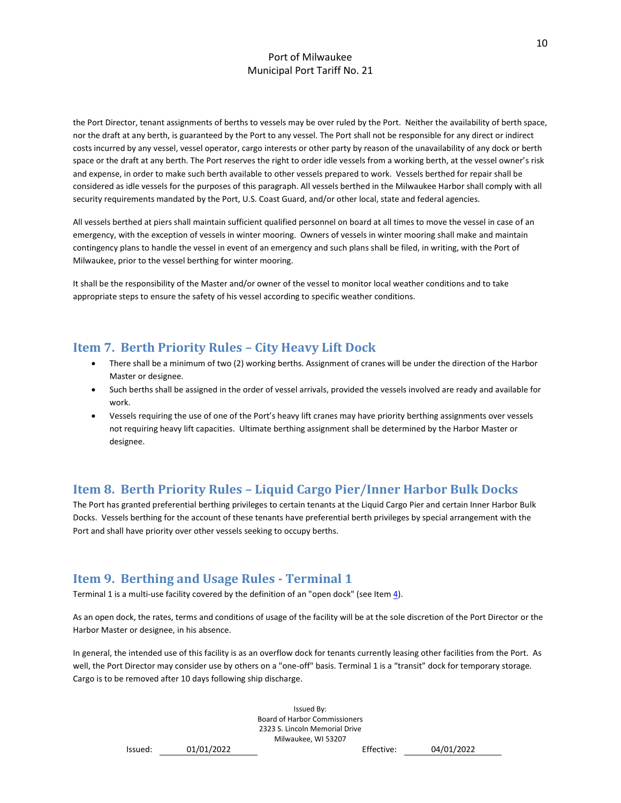the Port Director, tenant assignments of berths to vessels may be over ruled by the Port. Neither the availability of berth space, nor the draft at any berth, is guaranteed by the Port to any vessel. The Port shall not be responsible for any direct or indirect costs incurred by any vessel, vessel operator, cargo interests or other party by reason of the unavailability of any dock or berth space or the draft at any berth. The Port reserves the right to order idle vessels from a working berth, at the vessel owner's risk and expense, in order to make such berth available to other vessels prepared to work. Vessels berthed for repair shall be considered as idle vessels for the purposes of this paragraph. All vessels berthed in the Milwaukee Harbor shall comply with all security requirements mandated by the Port, U.S. Coast Guard, and/or other local, state and federal agencies.

All vessels berthed at piers shall maintain sufficient qualified personnel on board at all times to move the vessel in case of an emergency, with the exception of vessels in winter mooring. Owners of vessels in winter mooring shall make and maintain contingency plans to handle the vessel in event of an emergency and such plans shall be filed, in writing, with the Port of Milwaukee, prior to the vessel berthing for winter mooring.

It shall be the responsibility of the Master and/or owner of the vessel to monitor local weather conditions and to take appropriate steps to ensure the safety of his vessel according to specific weather conditions.

# <span id="page-10-0"></span>**Item 7. Berth Priority Rules – City Heavy Lift Dock**

- There shall be a minimum of two (2) working berths. Assignment of cranes will be under the direction of the Harbor Master or designee.
- Such berths shall be assigned in the order of vessel arrivals, provided the vessels involved are ready and available for work.
- Vessels requiring the use of one of the Port's heavy lift cranes may have priority berthing assignments over vessels not requiring heavy lift capacities. Ultimate berthing assignment shall be determined by the Harbor Master or designee.

# <span id="page-10-1"></span>**Item 8. Berth Priority Rules – Liquid Cargo Pier/Inner Harbor Bulk Docks**

The Port has granted preferential berthing privileges to certain tenants at the Liquid Cargo Pier and certain Inner Harbor Bulk Docks. Vessels berthing for the account of these tenants have preferential berth privileges by special arrangement with the Port and shall have priority over other vessels seeking to occupy berths.

# <span id="page-10-2"></span>**Item 9. Berthing and Usage Rules - Terminal 1**

Terminal 1 is a multi-use facility covered by the definition of an "open dock" (see Item  $\underline{4}$ ).

As an open dock, the rates, terms and conditions of usage of the facility will be at the sole discretion of the Port Director or the Harbor Master or designee, in his absence.

In general, the intended use of this facility is as an overflow dock for tenants currently leasing other facilities from the Port. As well, the Port Director may consider use by others on a "one-off" basis. Terminal 1 is a "transit" dock for temporary storage. Cargo is to be removed after 10 days following ship discharge.

> Issued By: Board of Harbor Commissioners 2323 S. Lincoln Memorial Drive Milwaukee, WI 53207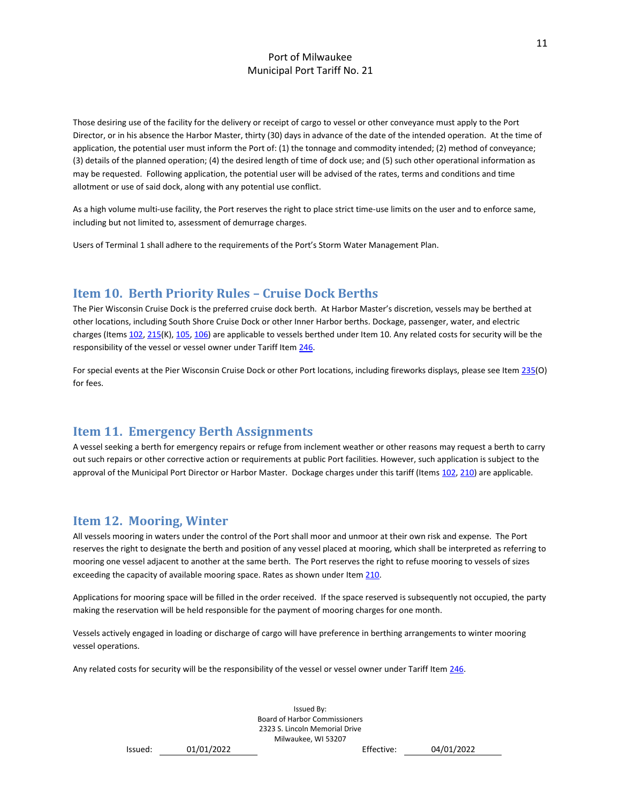Those desiring use of the facility for the delivery or receipt of cargo to vessel or other conveyance must apply to the Port Director, or in his absence the Harbor Master, thirty (30) days in advance of the date of the intended operation. At the time of application, the potential user must inform the Port of: (1) the tonnage and commodity intended; (2) method of conveyance; (3) details of the planned operation; (4) the desired length of time of dock use; and (5) such other operational information as may be requested. Following application, the potential user will be advised of the rates, terms and conditions and time allotment or use of said dock, along with any potential use conflict.

As a high volume multi-use facility, the Port reserves the right to place strict time-use limits on the user and to enforce same, including but not limited to, assessment of demurrage charges.

Users of Terminal 1 shall adhere to the requirements of the Port's Storm Water Management Plan.

# <span id="page-11-0"></span>**Item 10. Berth Priority Rules – Cruise Dock Berths**

The Pier Wisconsin Cruise Dock is the preferred cruise dock berth. At Harbor Master's discretion, vessels may be berthed at other locations, including South Shore Cruise Dock or other Inner Harbor berths. Dockage, passenger, water, and electric charges (Items [102,](#page-17-1) [215\(](#page-26-1)K), [105,](#page-18-2) [106\)](#page-18-3) are applicable to vessels berthed under Item 10. Any related costs for security will be the responsibility of the vessel or vessel owner under Tariff Item [246.](#page-30-3)

For special events at the Pier Wisconsin Cruise Dock or other Port locations, including fireworks displays, please see Ite[m 235\(](#page-29-0)O) for fees.

# <span id="page-11-1"></span>**Item 11. Emergency Berth Assignments**

A vessel seeking a berth for emergency repairs or refuge from inclement weather or other reasons may request a berth to carry out such repairs or other corrective action or requirements at public Port facilities. However, such application is subject to the approval of the Municipal Port Director or Harbor Master. Dockage charges under this tariff (Items [102,](#page-17-1) [210\)](#page-26-0) are applicable.

# <span id="page-11-2"></span>**Item 12. Mooring, Winter**

All vessels mooring in waters under the control of the Port shall moor and unmoor at their own risk and expense. The Port reserves the right to designate the berth and position of any vessel placed at mooring, which shall be interpreted as referring to mooring one vessel adjacent to another at the same berth. The Port reserves the right to refuse mooring to vessels of sizes exceeding the capacity of available mooring space. Rates as shown under Ite[m 210.](#page-26-0)

Applications for mooring space will be filled in the order received. If the space reserved is subsequently not occupied, the party making the reservation will be held responsible for the payment of mooring charges for one month.

Vessels actively engaged in loading or discharge of cargo will have preference in berthing arrangements to winter mooring vessel operations.

Any related costs for security will be the responsibility of the vessel or vessel owner under Tariff Ite[m 246.](#page-30-3)

Issued By: Board of Harbor Commissioners 2323 S. Lincoln Memorial Drive Milwaukee, WI 53207

Issued: 01/01/2022 Effective: 04/01/2022

11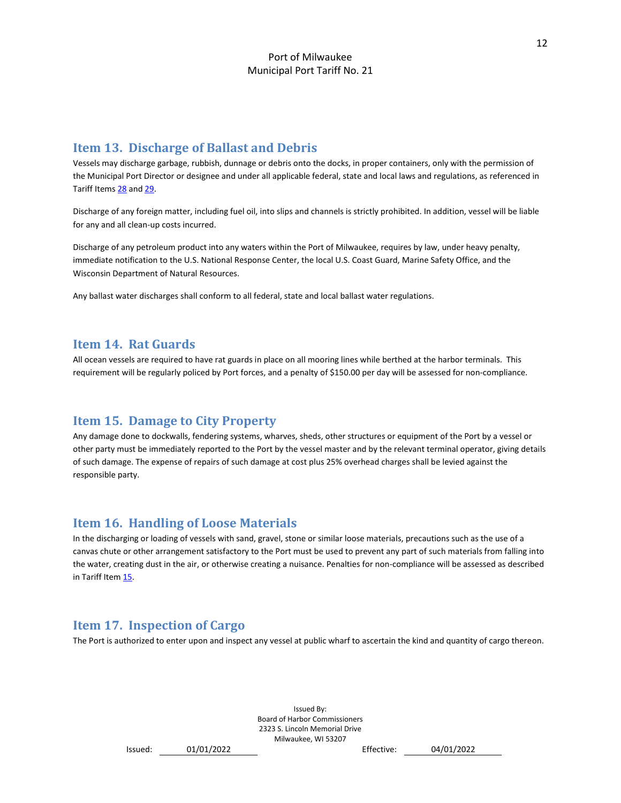# <span id="page-12-0"></span>**Item 13. Discharge of Ballast and Debris**

Vessels may discharge garbage, rubbish, dunnage or debris onto the docks, in proper containers, only with the permission of the Municipal Port Director or designee and under all applicable federal, state and local laws and regulations, as referenced in Tariff Items [28](#page-15-5) and [29.](#page-16-0)

Discharge of any foreign matter, including fuel oil, into slips and channels is strictly prohibited. In addition, vessel will be liable for any and all clean-up costs incurred.

Discharge of any petroleum product into any waters within the Port of Milwaukee, requires by law, under heavy penalty, immediate notification to the U.S. National Response Center, the local U.S. Coast Guard, Marine Safety Office, and the Wisconsin Department of Natural Resources.

Any ballast water discharges shall conform to all federal, state and local ballast water regulations.

# <span id="page-12-1"></span>**Item 14. Rat Guards**

All ocean vessels are required to have rat guards in place on all mooring lines while berthed at the harbor terminals. This requirement will be regularly policed by Port forces, and a penalty of \$150.00 per day will be assessed for non-compliance.

# <span id="page-12-2"></span>**Item 15. Damage to City Property**

Any damage done to dockwalls, fendering systems, wharves, sheds, other structures or equipment of the Port by a vessel or other party must be immediately reported to the Port by the vessel master and by the relevant terminal operator, giving details of such damage. The expense of repairs of such damage at cost plus 25% overhead charges shall be levied against the responsible party.

# <span id="page-12-3"></span>**Item 16. Handling of Loose Materials**

In the discharging or loading of vessels with sand, gravel, stone or similar loose materials, precautions such as the use of a canvas chute or other arrangement satisfactory to the Port must be used to prevent any part of such materials from falling into the water, creating dust in the air, or otherwise creating a nuisance. Penalties for non-compliance will be assessed as described in Tariff Ite[m 15.](#page-12-2)

# <span id="page-12-4"></span>**Item 17. Inspection of Cargo**

The Port is authorized to enter upon and inspect any vessel at public wharf to ascertain the kind and quantity of cargo thereon.

```
Issued: 01/01/2022 Effective: 04/01/2022
```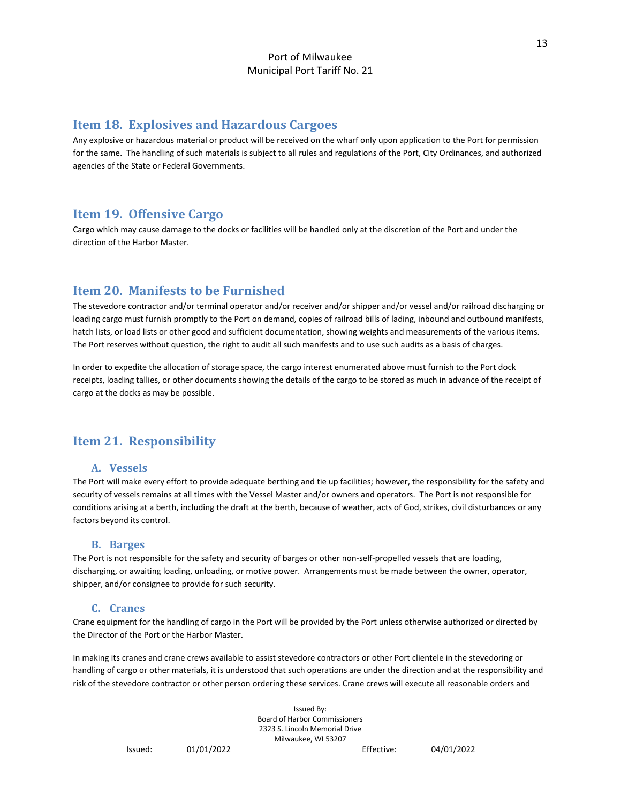# <span id="page-13-0"></span>**Item 18. Explosives and Hazardous Cargoes**

Any explosive or hazardous material or product will be received on the wharf only upon application to the Port for permission for the same. The handling of such materials is subject to all rules and regulations of the Port, City Ordinances, and authorized agencies of the State or Federal Governments.

# <span id="page-13-1"></span>**Item 19. Offensive Cargo**

Cargo which may cause damage to the docks or facilities will be handled only at the discretion of the Port and under the direction of the Harbor Master.

# <span id="page-13-2"></span>**Item 20. Manifests to be Furnished**

The stevedore contractor and/or terminal operator and/or receiver and/or shipper and/or vessel and/or railroad discharging or loading cargo must furnish promptly to the Port on demand, copies of railroad bills of lading, inbound and outbound manifests, hatch lists, or load lists or other good and sufficient documentation, showing weights and measurements of the various items. The Port reserves without question, the right to audit all such manifests and to use such audits as a basis of charges.

In order to expedite the allocation of storage space, the cargo interest enumerated above must furnish to the Port dock receipts, loading tallies, or other documents showing the details of the cargo to be stored as much in advance of the receipt of cargo at the docks as may be possible.

# <span id="page-13-4"></span><span id="page-13-3"></span>**Item 21. Responsibility**

### **A. Vessels**

The Port will make every effort to provide adequate berthing and tie up facilities; however, the responsibility for the safety and security of vessels remains at all times with the Vessel Master and/or owners and operators. The Port is not responsible for conditions arising at a berth, including the draft at the berth, because of weather, acts of God, strikes, civil disturbances or any factors beyond its control.

### **B. Barges**

<span id="page-13-5"></span>The Port is not responsible for the safety and security of barges or other non-self-propelled vessels that are loading, discharging, or awaiting loading, unloading, or motive power. Arrangements must be made between the owner, operator, shipper, and/or consignee to provide for such security.

### **C. Cranes**

<span id="page-13-6"></span>Crane equipment for the handling of cargo in the Port will be provided by the Port unless otherwise authorized or directed by the Director of the Port or the Harbor Master.

In making its cranes and crane crews available to assist stevedore contractors or other Port clientele in the stevedoring or handling of cargo or other materials, it is understood that such operations are under the direction and at the responsibility and risk of the stevedore contractor or other person ordering these services. Crane crews will execute all reasonable orders and

> Issued By: Board of Harbor Commissioners 2323 S. Lincoln Memorial Drive Milwaukee, WI 53207 Issued: 01/01/2022 Effective: 04/01/2022

13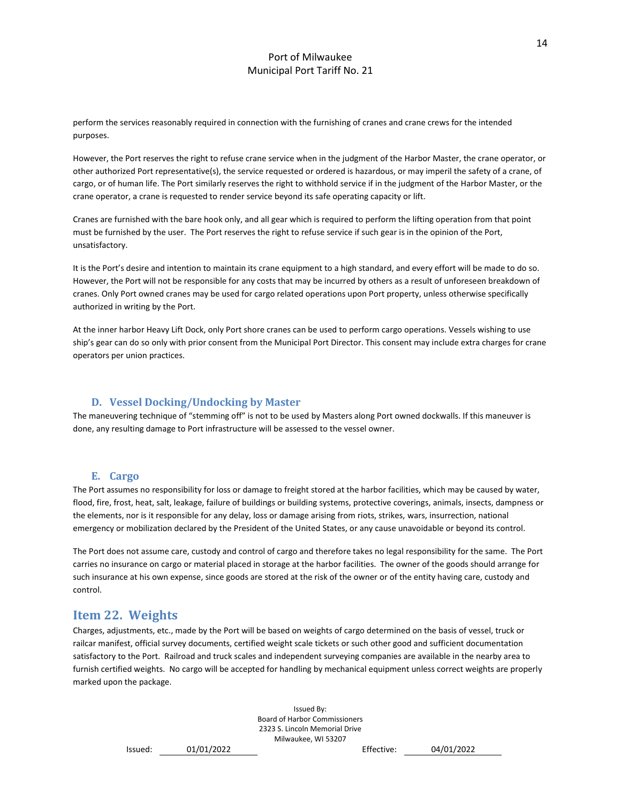perform the services reasonably required in connection with the furnishing of cranes and crane crews for the intended purposes.

However, the Port reserves the right to refuse crane service when in the judgment of the Harbor Master, the crane operator, or other authorized Port representative(s), the service requested or ordered is hazardous, or may imperil the safety of a crane, of cargo, or of human life. The Port similarly reserves the right to withhold service if in the judgment of the Harbor Master, or the crane operator, a crane is requested to render service beyond its safe operating capacity or lift.

Cranes are furnished with the bare hook only, and all gear which is required to perform the lifting operation from that point must be furnished by the user. The Port reserves the right to refuse service if such gear is in the opinion of the Port, unsatisfactory.

It is the Port's desire and intention to maintain its crane equipment to a high standard, and every effort will be made to do so. However, the Port will not be responsible for any costs that may be incurred by others as a result of unforeseen breakdown of cranes. Only Port owned cranes may be used for cargo related operations upon Port property, unless otherwise specifically authorized in writing by the Port.

At the inner harbor Heavy Lift Dock, only Port shore cranes can be used to perform cargo operations. Vessels wishing to use ship's gear can do so only with prior consent from the Municipal Port Director. This consent may include extra charges for crane operators per union practices.

### **D. Vessel Docking/Undocking by Master**

<span id="page-14-0"></span>The maneuvering technique of "stemming off" is not to be used by Masters along Port owned dockwalls. If this maneuver is done, any resulting damage to Port infrastructure will be assessed to the vessel owner.

#### **E. Cargo**

<span id="page-14-1"></span>The Port assumes no responsibility for loss or damage to freight stored at the harbor facilities, which may be caused by water, flood, fire, frost, heat, salt, leakage, failure of buildings or building systems, protective coverings, animals, insects, dampness or the elements, nor is it responsible for any delay, loss or damage arising from riots, strikes, wars, insurrection, national emergency or mobilization declared by the President of the United States, or any cause unavoidable or beyond its control.

The Port does not assume care, custody and control of cargo and therefore takes no legal responsibility for the same. The Port carries no insurance on cargo or material placed in storage at the harbor facilities. The owner of the goods should arrange for such insurance at his own expense, since goods are stored at the risk of the owner or of the entity having care, custody and control.

### <span id="page-14-2"></span>**Item 22. Weights**

Charges, adjustments, etc., made by the Port will be based on weights of cargo determined on the basis of vessel, truck or railcar manifest, official survey documents, certified weight scale tickets or such other good and sufficient documentation satisfactory to the Port. Railroad and truck scales and independent surveying companies are available in the nearby area to furnish certified weights. No cargo will be accepted for handling by mechanical equipment unless correct weights are properly marked upon the package.

> Issued By: Board of Harbor Commissioners 2323 S. Lincoln Memorial Drive Milwaukee, WI 53207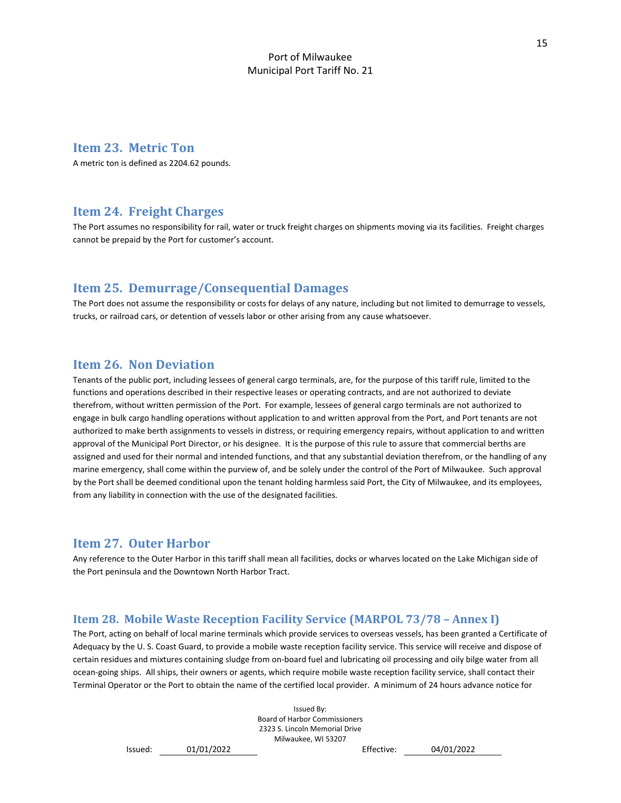# <span id="page-15-0"></span>**Item 23. Metric Ton**

A metric ton is defined as 2204.62 pounds.

# <span id="page-15-1"></span>**Item 24. Freight Charges**

The Port assumes no responsibility for rail, water or truck freight charges on shipments moving via its facilities. Freight charges cannot be prepaid by the Port for customer's account.

# <span id="page-15-2"></span>**Item 25. Demurrage/Consequential Damages**

The Port does not assume the responsibility or costs for delays of any nature, including but not limited to demurrage to vessels, trucks, or railroad cars, or detention of vessels labor or other arising from any cause whatsoever.

### <span id="page-15-3"></span>**Item 26. Non Deviation**

Tenants of the public port, including lessees of general cargo terminals, are, for the purpose of this tariff rule, limited to the functions and operations described in their respective leases or operating contracts, and are not authorized to deviate therefrom, without written permission of the Port. For example, lessees of general cargo terminals are not authorized to engage in bulk cargo handling operations without application to and written approval from the Port, and Port tenants are not authorized to make berth assignments to vessels in distress, or requiring emergency repairs, without application to and written approval of the Municipal Port Director, or his designee. It is the purpose of this rule to assure that commercial berths are assigned and used for their normal and intended functions, and that any substantial deviation therefrom, or the handling of any marine emergency, shall come within the purview of, and be solely under the control of the Port of Milwaukee. Such approval by the Port shall be deemed conditional upon the tenant holding harmless said Port, the City of Milwaukee, and its employees, from any liability in connection with the use of the designated facilities.

### <span id="page-15-4"></span>**Item 27. Outer Harbor**

Any reference to the Outer Harbor in this tariff shall mean all facilities, docks or wharves located on the Lake Michigan side of the Port peninsula and the Downtown North Harbor Tract.

### <span id="page-15-5"></span>**Item 28. Mobile Waste Reception Facility Service (MARPOL 73/78 – Annex I)**

The Port, acting on behalf of local marine terminals which provide services to overseas vessels, has been granted a Certificate of Adequacy by the U. S. Coast Guard, to provide a mobile waste reception facility service. This service will receive and dispose of certain residues and mixtures containing sludge from on-board fuel and lubricating oil processing and oily bilge water from all ocean-going ships. All ships, their owners or agents, which require mobile waste reception facility service, shall contact their Terminal Operator or the Port to obtain the name of the certified local provider. A minimum of 24 hours advance notice for

> Issued By: Board of Harbor Commissioners 2323 S. Lincoln Memorial Drive Milwaukee, WI 53207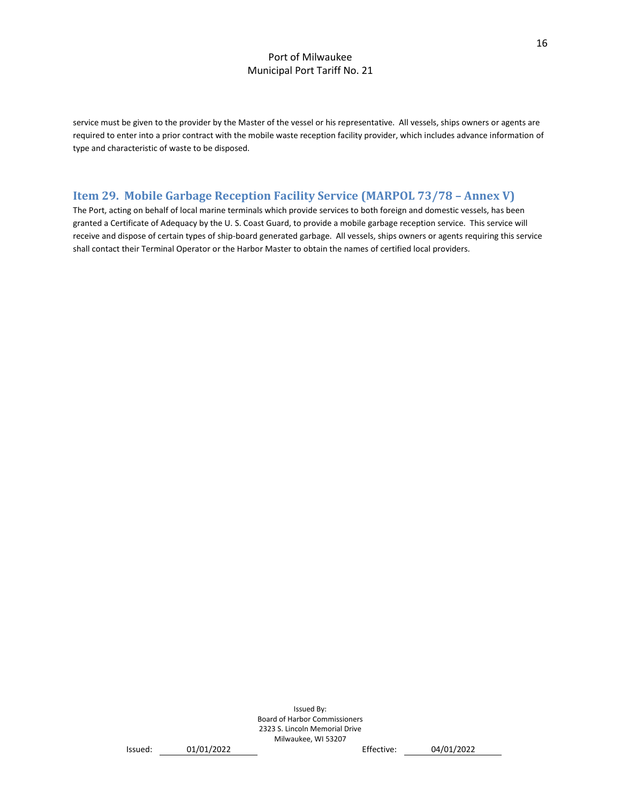service must be given to the provider by the Master of the vessel or his representative. All vessels, ships owners or agents are required to enter into a prior contract with the mobile waste reception facility provider, which includes advance information of type and characteristic of waste to be disposed.

# <span id="page-16-0"></span>**Item 29. Mobile Garbage Reception Facility Service (MARPOL 73/78 – Annex V)**

The Port, acting on behalf of local marine terminals which provide services to both foreign and domestic vessels, has been granted a Certificate of Adequacy by the U. S. Coast Guard, to provide a mobile garbage reception service. This service will receive and dispose of certain types of ship-board generated garbage. All vessels, ships owners or agents requiring this service shall contact their Terminal Operator or the Harbor Master to obtain the names of certified local providers.

```
Issued: 01/01/2022 Effective: 04/01/2022
```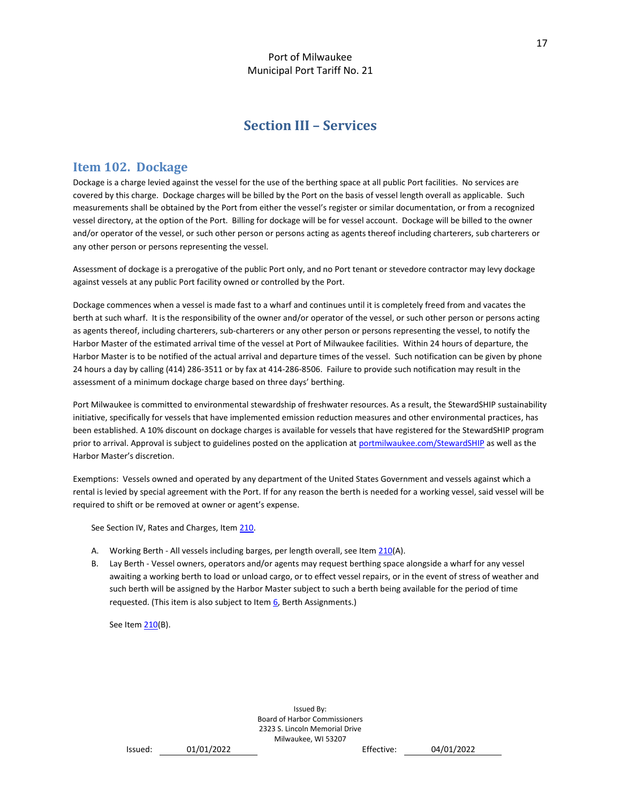# **Section III – Services**

# <span id="page-17-1"></span><span id="page-17-0"></span>**Item 102. Dockage**

Dockage is a charge levied against the vessel for the use of the berthing space at all public Port facilities. No services are covered by this charge. Dockage charges will be billed by the Port on the basis of vessel length overall as applicable. Such measurements shall be obtained by the Port from either the vessel's register or similar documentation, or from a recognized vessel directory, at the option of the Port. Billing for dockage will be for vessel account. Dockage will be billed to the owner and/or operator of the vessel, or such other person or persons acting as agents thereof including charterers, sub charterers or any other person or persons representing the vessel.

Assessment of dockage is a prerogative of the public Port only, and no Port tenant or stevedore contractor may levy dockage against vessels at any public Port facility owned or controlled by the Port.

Dockage commences when a vessel is made fast to a wharf and continues until it is completely freed from and vacates the berth at such wharf. It is the responsibility of the owner and/or operator of the vessel, or such other person or persons acting as agents thereof, including charterers, sub-charterers or any other person or persons representing the vessel, to notify the Harbor Master of the estimated arrival time of the vessel at Port of Milwaukee facilities. Within 24 hours of departure, the Harbor Master is to be notified of the actual arrival and departure times of the vessel. Such notification can be given by phone 24 hours a day by calling (414) 286-3511 or by fax at 414-286-8506. Failure to provide such notification may result in the assessment of a minimum dockage charge based on three days' berthing.

Port Milwaukee is committed to environmental stewardship of freshwater resources. As a result, the StewardSHIP sustainability initiative, specifically for vessels that have implemented emission reduction measures and other environmental practices, has been established. A 10% discount on dockage charges is available for vessels that have registered for the StewardSHIP program prior to arrival. Approval is subject to guidelines posted on the application at [portmilwaukee.com/StewardSHIP](file:///C:/Users/mcarti/AppData/Local/Microsoft/Windows/INetCache/Content.Outlook/UMBDNBJM/portmilwaukee.com/StewardSHIP) as well as the Harbor Master's discretion.

Exemptions: Vessels owned and operated by any department of the United States Government and vessels against which a rental is levied by special agreement with the Port. If for any reason the berth is needed for a working vessel, said vessel will be required to shift or be removed at owner or agent's expense.

See Section IV, Rates and Charges, Ite[m 210.](#page-26-0)

- A. Working Berth All vessels including barges, per length overall, see Ite[m 210\(](#page-26-0)A).
- B. Lay Berth Vessel owners, operators and/or agents may request berthing space alongside a wharf for any vessel awaiting a working berth to load or unload cargo, or to effect vessel repairs, or in the event of stress of weather and such berth will be assigned by the Harbor Master subject to such a berth being available for the period of time requested. (This item is also subject to Ite[m 6,](#page-9-6) Berth Assignments.)

See Item [210\(](#page-26-0)B).

```
Issued: 01/01/2022 Effective: 04/01/2022
```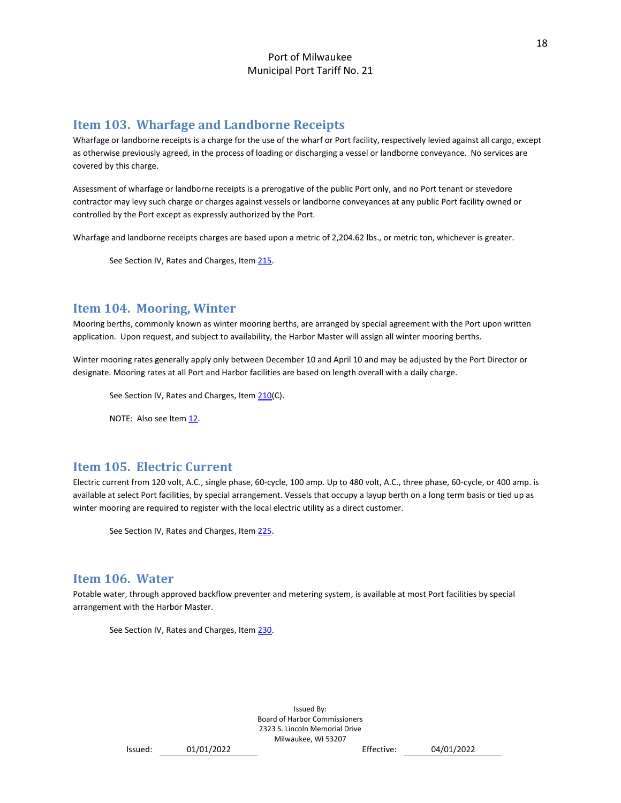# <span id="page-18-0"></span>**Item 103. Wharfage and Landborne Receipts**

Wharfage or landborne receipts is a charge for the use of the wharf or Port facility, respectively levied against all cargo, except as otherwise previously agreed, in the process of loading or discharging a vessel or landborne conveyance. No services are covered by this charge.

Assessment of wharfage or landborne receipts is a prerogative of the public Port only, and no Port tenant or stevedore contractor may levy such charge or charges against vessels or landborne conveyances at any public Port facility owned or controlled by the Port except as expressly authorized by the Port.

Wharfage and landborne receipts charges are based upon a metric of 2,204.62 lbs., or metric ton, whichever is greater.

See Section IV, Rates and Charges, Ite[m 215.](#page-26-1)

# <span id="page-18-1"></span>**Item 104. Mooring, Winter**

Mooring berths, commonly known as winter mooring berths, are arranged by special agreement with the Port upon written application. Upon request, and subject to availability, the Harbor Master will assign all winter mooring berths.

Winter mooring rates generally apply only between December 10 and April 10 and may be adjusted by the Port Director or designate. Mooring rates at all Port and Harbor facilities are based on length overall with a daily charge.

See Section IV, Rates and Charges, Ite[m 210\(](#page-26-0)C).

NOTE: Also see Item [12.](#page-11-2)

# <span id="page-18-2"></span>**Item 105. Electric Current**

Electric current from 120 volt, A.C., single phase, 60-cycle, 100 amp. Up to 480 volt, A.C., three phase, 60-cycle, or 400 amp. is available at select Port facilities, by special arrangement. Vessels that occupy a layup berth on a long term basis or tied up as winter mooring are required to register with the local electric utility as a direct customer.

See Section IV, Rates and Charges, Ite[m 225.](#page-28-0)

# <span id="page-18-3"></span>**Item 106. Water**

Potable water, through approved backflow preventer and metering system, is available at most Port facilities by special arrangement with the Harbor Master.

See Section IV, Rates and Charges, Ite[m 230.](#page-28-1)

```
Issued: 01/01/2022 Effective: 04/01/2022
```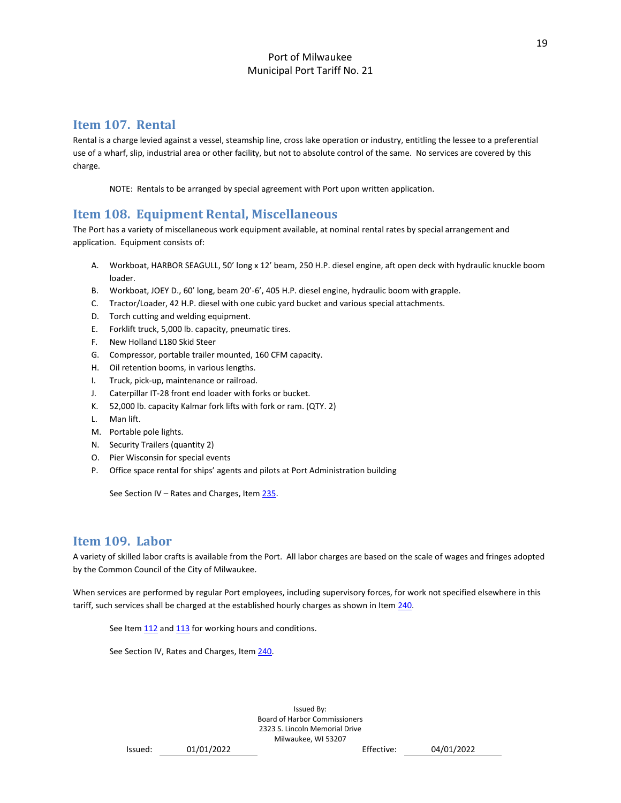# <span id="page-19-0"></span>**Item 107. Rental**

Rental is a charge levied against a vessel, steamship line, cross lake operation or industry, entitling the lessee to a preferential use of a wharf, slip, industrial area or other facility, but not to absolute control of the same. No services are covered by this charge.

NOTE: Rentals to be arranged by special agreement with Port upon written application.

# <span id="page-19-1"></span>**Item 108. Equipment Rental, Miscellaneous**

The Port has a variety of miscellaneous work equipment available, at nominal rental rates by special arrangement and application. Equipment consists of:

- A. Workboat, HARBOR SEAGULL, 50' long x 12' beam, 250 H.P. diesel engine, aft open deck with hydraulic knuckle boom loader.
- B. Workboat, JOEY D., 60' long, beam 20'-6', 405 H.P. diesel engine, hydraulic boom with grapple.
- C. Tractor/Loader, 42 H.P. diesel with one cubic yard bucket and various special attachments.
- D. Torch cutting and welding equipment.
- E. Forklift truck, 5,000 lb. capacity, pneumatic tires.
- F. New Holland L180 Skid Steer
- G. Compressor, portable trailer mounted, 160 CFM capacity.
- H. Oil retention booms, in various lengths.
- I. Truck, pick-up, maintenance or railroad.
- J. Caterpillar IT-28 front end loader with forks or bucket.
- K. 52,000 lb. capacity Kalmar fork lifts with fork or ram. (QTY. 2)
- L. Man lift.
- M. Portable pole lights.
- N. Security Trailers (quantity 2)
- O. Pier Wisconsin for special events
- P. Office space rental for ships' agents and pilots at Port Administration building

See Section IV – Rates and Charges, Item  $235$ .

# <span id="page-19-2"></span>**Item 109. Labor**

A variety of skilled labor crafts is available from the Port. All labor charges are based on the scale of wages and fringes adopted by the Common Council of the City of Milwaukee.

When services are performed by regular Port employees, including supervisory forces, for work not specified elsewhere in this tariff, such services shall be charged at the established hourly charges as shown in Ite[m 240.](#page-30-0) 

See Item [112](#page-21-1) an[d 113](#page-22-1) for working hours and conditions.

See Section IV, Rates and Charges, Ite[m 240.](#page-30-0)

```
Issued: 01/01/2022 Effective: 04/01/2022
```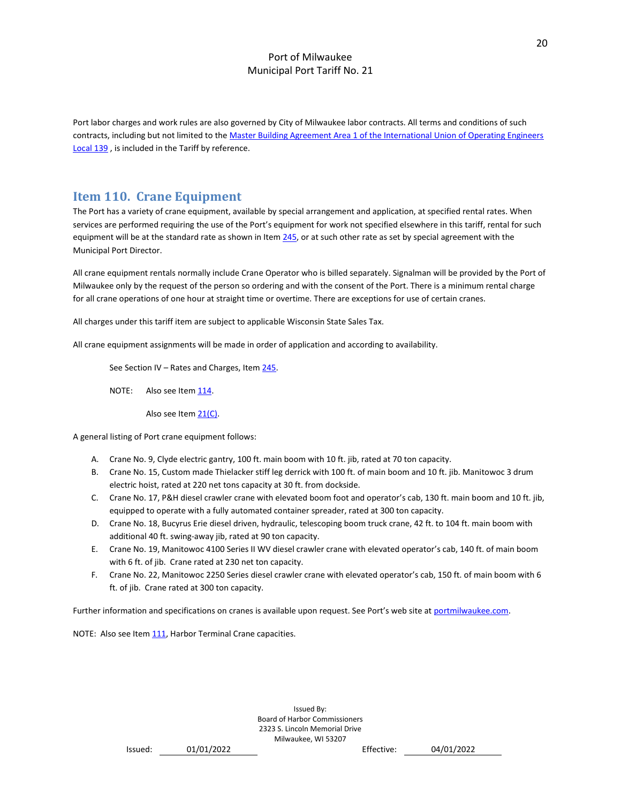Port labor charges and work rules are also governed by City of Milwaukee labor contracts. All terms and conditions of such contracts, including but not limited to th[e Master Building Agreement Area 1 of the International Union of Operating Engineers](https://www.iuoe139.org/member-information/wages-benefits/)  [Local 139](https://www.iuoe139.org/member-information/wages-benefits/) , is included in the Tariff by reference.

# <span id="page-20-0"></span>**Item 110. Crane Equipment**

The Port has a variety of crane equipment, available by special arrangement and application, at specified rental rates. When services are performed requiring the use of the Port's equipment for work not specified elsewhere in this tariff, rental for such equipment will be at the standard rate as shown in Item [245,](#page-30-1) or at such other rate as set by special agreement with the Municipal Port Director.

All crane equipment rentals normally include Crane Operator who is billed separately. Signalman will be provided by the Port of Milwaukee only by the request of the person so ordering and with the consent of the Port. There is a minimum rental charge for all crane operations of one hour at straight time or overtime. There are exceptions for use of certain cranes.

All charges under this tariff item are subject to applicable Wisconsin State Sales Tax.

All crane equipment assignments will be made in order of application and according to availability.

See Section IV – Rates and Charges, Item 245.

NOTE: Also see Item [114.](#page-22-2)

Also see Item [21\(C\).](#page-13-6)

A general listing of Port crane equipment follows:

- A. Crane No. 9, Clyde electric gantry, 100 ft. main boom with 10 ft. jib, rated at 70 ton capacity.
- B. Crane No. 15, Custom made Thielacker stiff leg derrick with 100 ft. of main boom and 10 ft. jib. Manitowoc 3 drum electric hoist, rated at 220 net tons capacity at 30 ft. from dockside.
- C. Crane No. 17, P&H diesel crawler crane with elevated boom foot and operator's cab, 130 ft. main boom and 10 ft. jib, equipped to operate with a fully automated container spreader, rated at 300 ton capacity.
- D. Crane No. 18, Bucyrus Erie diesel driven, hydraulic, telescoping boom truck crane, 42 ft. to 104 ft. main boom with additional 40 ft. swing-away jib, rated at 90 ton capacity.
- E. Crane No. 19, Manitowoc 4100 Series II WV diesel crawler crane with elevated operator's cab, 140 ft. of main boom with 6 ft. of jib. Crane rated at 230 net ton capacity.
- F. Crane No. 22, Manitowoc 2250 Series diesel crawler crane with elevated operator's cab, 150 ft. of main boom with 6 ft. of jib. Crane rated at 300 ton capacity.

Further information and specifications on cranes is available upon request. See Port's web site at [portmilwaukee.com.](file://///pom-hvsvr1/POM_Data/SYS3/Tariff/portmilwaukee.com)

NOTE: Also see Item [111,](#page-21-0) Harbor Terminal Crane capacities.

```
Issued: 01/01/2022 Effective: 04/01/2022
```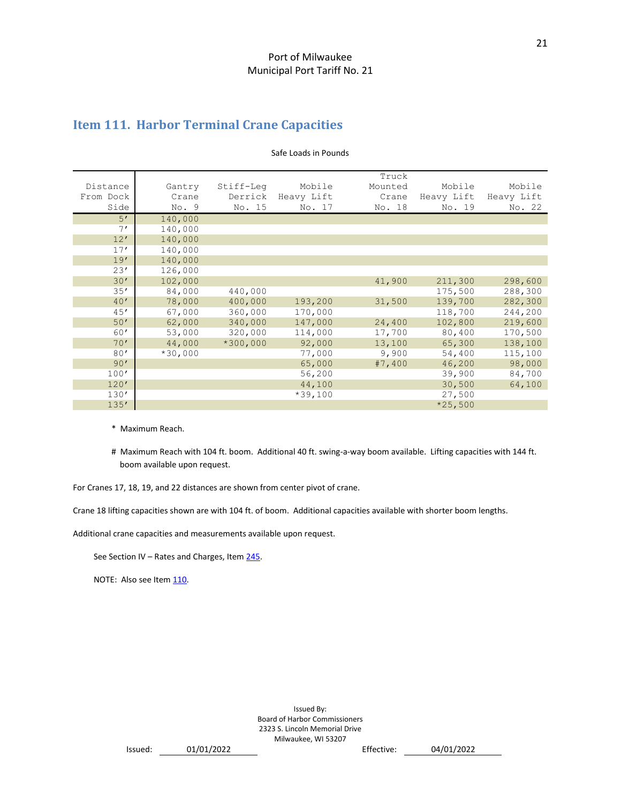# <span id="page-21-0"></span>**Item 111. Harbor Terminal Crane Capacities**

|           |           |            |            | Truck   |            |            |
|-----------|-----------|------------|------------|---------|------------|------------|
| Distance  | Gantry    | Stiff-Leq  | Mobile     | Mounted | Mobile     | Mobile     |
| From Dock | Crane     | Derrick    | Heavy Lift | Crane   | Heavy Lift | Heavy Lift |
| Side      | No. 9     | No. 15     | No. 17     | No. 18  | No. 19     | No. 22     |
| 5'        | 140,000   |            |            |         |            |            |
| 7'        | 140,000   |            |            |         |            |            |
| 12'       | 140,000   |            |            |         |            |            |
| 17'       | 140,000   |            |            |         |            |            |
| 19'       | 140,000   |            |            |         |            |            |
| 23'       | 126,000   |            |            |         |            |            |
| 30'       | 102,000   |            |            | 41,900  | 211,300    | 298,600    |
| 35'       | 84,000    | 440,000    |            |         | 175,500    | 288,300    |
| 40'       | 78,000    | 400,000    | 193,200    | 31,500  | 139,700    | 282,300    |
| 45'       | 67,000    | 360,000    | 170,000    |         | 118,700    | 244,200    |
| 50'       | 62,000    | 340,000    | 147,000    | 24,400  | 102,800    | 219,600    |
| 60'       | 53,000    | 320,000    | 114,000    | 17,700  | 80,400     | 170,500    |
| 70'       | 44,000    | $*300,000$ | 92,000     | 13,100  | 65,300     | 138,100    |
| 80'       | $*30,000$ |            | 77,000     | 9,900   | 54,400     | 115,100    |
| 90'       |           |            | 65,000     | #7,400  | 46,200     | 98,000     |
| 100'      |           |            | 56,200     |         | 39,900     | 84,700     |
| 120'      |           |            | 44,100     |         | 30,500     | 64,100     |
| 130'      |           |            | $*39,100$  |         | 27,500     |            |
| 135'      |           |            |            |         | $*25,500$  |            |

#### Safe Loads in Pounds

\* Maximum Reach.

# Maximum Reach with 104 ft. boom. Additional 40 ft. swing-a-way boom available. Lifting capacities with 144 ft. boom available upon request.

For Cranes 17, 18, 19, and 22 distances are shown from center pivot of crane.

Crane 18 lifting capacities shown are with 104 ft. of boom. Additional capacities available with shorter boom lengths.

Additional crane capacities and measurements available upon request.

See Section IV - Rates and Charges, Item 245.

<span id="page-21-1"></span>NOTE: Also see Ite[m 110.](#page-20-0)

Issued By: Board of Harbor Commissioners 2323 S. Lincoln Memorial Drive Milwaukee, WI 53207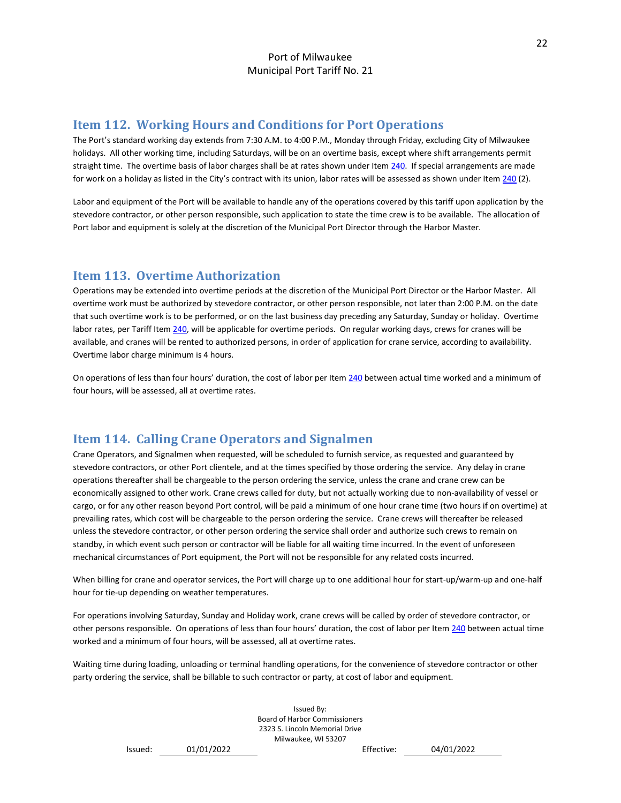# <span id="page-22-0"></span>**Item 112. Working Hours and Conditions for Port Operations**

The Port's standard working day extends from 7:30 A.M. to 4:00 P.M., Monday through Friday, excluding City of Milwaukee holidays. All other working time, including Saturdays, will be on an overtime basis, except where shift arrangements permit straight time. The overtime basis of labor charges shall be at rates shown under Item [240.](#page-30-0) If special arrangements are made for work on a holiday as listed in the City's contract with its union, labor rates will be assessed as shown under Item  $240$  (2).

Labor and equipment of the Port will be available to handle any of the operations covered by this tariff upon application by the stevedore contractor, or other person responsible, such application to state the time crew is to be available. The allocation of Port labor and equipment is solely at the discretion of the Municipal Port Director through the Harbor Master.

# <span id="page-22-1"></span>**Item 113. Overtime Authorization**

Operations may be extended into overtime periods at the discretion of the Municipal Port Director or the Harbor Master. All overtime work must be authorized by stevedore contractor, or other person responsible, not later than 2:00 P.M. on the date that such overtime work is to be performed, or on the last business day preceding any Saturday, Sunday or holiday. Overtime labor rates, per Tariff Ite[m 240,](#page-30-0) will be applicable for overtime periods. On regular working days, crews for cranes will be available, and cranes will be rented to authorized persons, in order of application for crane service, according to availability. Overtime labor charge minimum is 4 hours.

On operations of less than four hours' duration, the cost of labor per Item [240](#page-30-0) between actual time worked and a minimum of four hours, will be assessed, all at overtime rates.

# <span id="page-22-2"></span>**Item 114. Calling Crane Operators and Signalmen**

Crane Operators, and Signalmen when requested, will be scheduled to furnish service, as requested and guaranteed by stevedore contractors, or other Port clientele, and at the times specified by those ordering the service. Any delay in crane operations thereafter shall be chargeable to the person ordering the service, unless the crane and crane crew can be economically assigned to other work. Crane crews called for duty, but not actually working due to non-availability of vessel or cargo, or for any other reason beyond Port control, will be paid a minimum of one hour crane time (two hours if on overtime) at prevailing rates, which cost will be chargeable to the person ordering the service. Crane crews will thereafter be released unless the stevedore contractor, or other person ordering the service shall order and authorize such crews to remain on standby, in which event such person or contractor will be liable for all waiting time incurred. In the event of unforeseen mechanical circumstances of Port equipment, the Port will not be responsible for any related costs incurred.

When billing for crane and operator services, the Port will charge up to one additional hour for start-up/warm-up and one-half hour for tie-up depending on weather temperatures.

For operations involving Saturday, Sunday and Holiday work, crane crews will be called by order of stevedore contractor, or other persons responsible. On operations of less than four hours' duration, the cost of labor per Ite[m 240](#page-30-0) between actual time worked and a minimum of four hours, will be assessed, all at overtime rates.

Waiting time during loading, unloading or terminal handling operations, for the convenience of stevedore contractor or other party ordering the service, shall be billable to such contractor or party, at cost of labor and equipment.

> Issued By: Board of Harbor Commissioners 2323 S. Lincoln Memorial Drive Milwaukee, WI 53207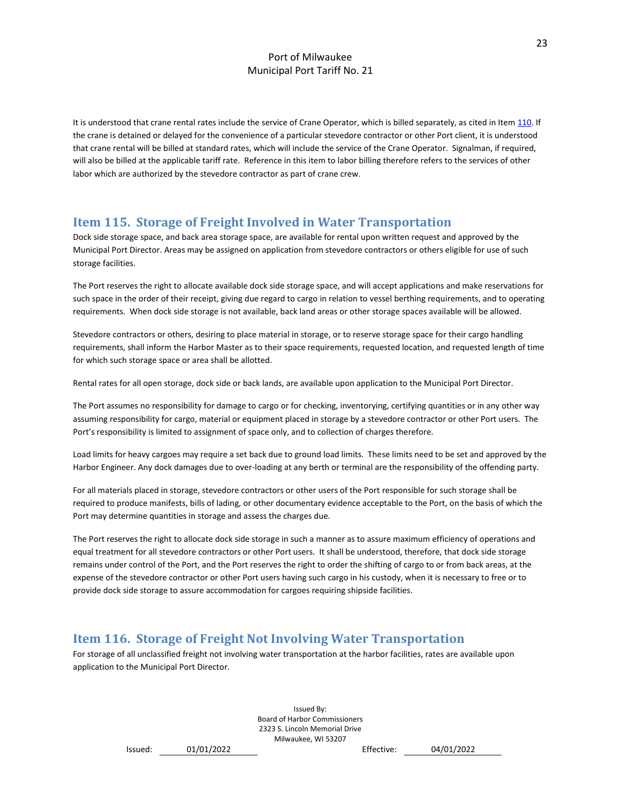It is understood that crane rental rates include the service of Crane Operator, which is billed separately, as cited in Ite[m 110.](#page-20-0) If the crane is detained or delayed for the convenience of a particular stevedore contractor or other Port client, it is understood that crane rental will be billed at standard rates, which will include the service of the Crane Operator. Signalman, if required, will also be billed at the applicable tariff rate. Reference in this item to labor billing therefore refers to the services of other labor which are authorized by the stevedore contractor as part of crane crew.

# <span id="page-23-0"></span>**Item 115. Storage of Freight Involved in Water Transportation**

Dock side storage space, and back area storage space, are available for rental upon written request and approved by the Municipal Port Director. Areas may be assigned on application from stevedore contractors or others eligible for use of such storage facilities.

The Port reserves the right to allocate available dock side storage space, and will accept applications and make reservations for such space in the order of their receipt, giving due regard to cargo in relation to vessel berthing requirements, and to operating requirements. When dock side storage is not available, back land areas or other storage spaces available will be allowed.

Stevedore contractors or others, desiring to place material in storage, or to reserve storage space for their cargo handling requirements, shall inform the Harbor Master as to their space requirements, requested location, and requested length of time for which such storage space or area shall be allotted.

Rental rates for all open storage, dock side or back lands, are available upon application to the Municipal Port Director.

The Port assumes no responsibility for damage to cargo or for checking, inventorying, certifying quantities or in any other way assuming responsibility for cargo, material or equipment placed in storage by a stevedore contractor or other Port users. The Port's responsibility is limited to assignment of space only, and to collection of charges therefore.

Load limits for heavy cargoes may require a set back due to ground load limits. These limits need to be set and approved by the Harbor Engineer. Any dock damages due to over-loading at any berth or terminal are the responsibility of the offending party.

For all materials placed in storage, stevedore contractors or other users of the Port responsible for such storage shall be required to produce manifests, bills of lading, or other documentary evidence acceptable to the Port, on the basis of which the Port may determine quantities in storage and assess the charges due.

The Port reserves the right to allocate dock side storage in such a manner as to assure maximum efficiency of operations and equal treatment for all stevedore contractors or other Port users. It shall be understood, therefore, that dock side storage remains under control of the Port, and the Port reserves the right to order the shifting of cargo to or from back areas, at the expense of the stevedore contractor or other Port users having such cargo in his custody, when it is necessary to free or to provide dock side storage to assure accommodation for cargoes requiring shipside facilities.

# <span id="page-23-1"></span>**Item 116. Storage of Freight Not Involving Water Transportation**

For storage of all unclassified freight not involving water transportation at the harbor facilities, rates are available upon application to the Municipal Port Director.

> Issued By: Board of Harbor Commissioners 2323 S. Lincoln Memorial Drive Milwaukee, WI 53207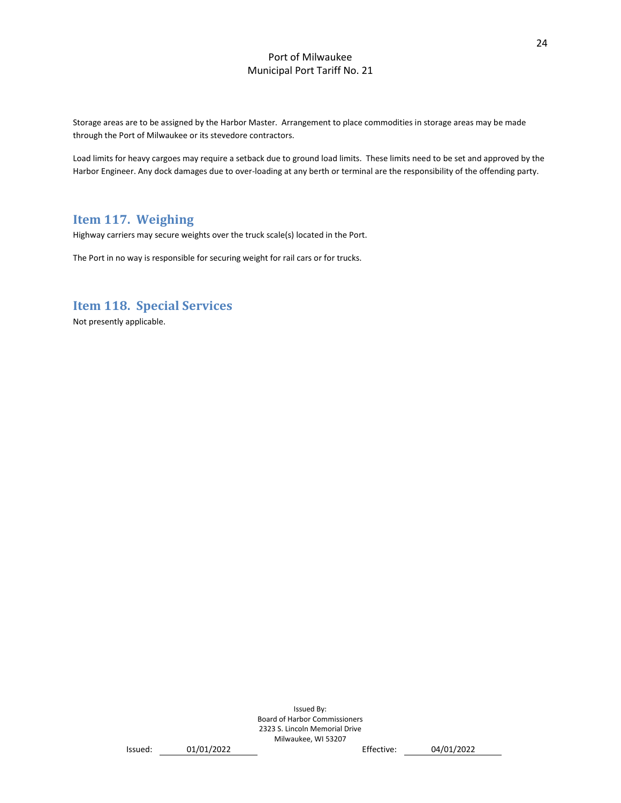Storage areas are to be assigned by the Harbor Master. Arrangement to place commodities in storage areas may be made through the Port of Milwaukee or its stevedore contractors.

Load limits for heavy cargoes may require a setback due to ground load limits. These limits need to be set and approved by the Harbor Engineer. Any dock damages due to over-loading at any berth or terminal are the responsibility of the offending party.

# <span id="page-24-0"></span>**Item 117. Weighing**

Highway carriers may secure weights over the truck scale(s) located in the Port.

The Port in no way is responsible for securing weight for rail cars or for trucks.

# <span id="page-24-1"></span>**Item 118. Special Services**

Not presently applicable.

```
Issued: 01/01/2022 Effective: 04/01/2022
```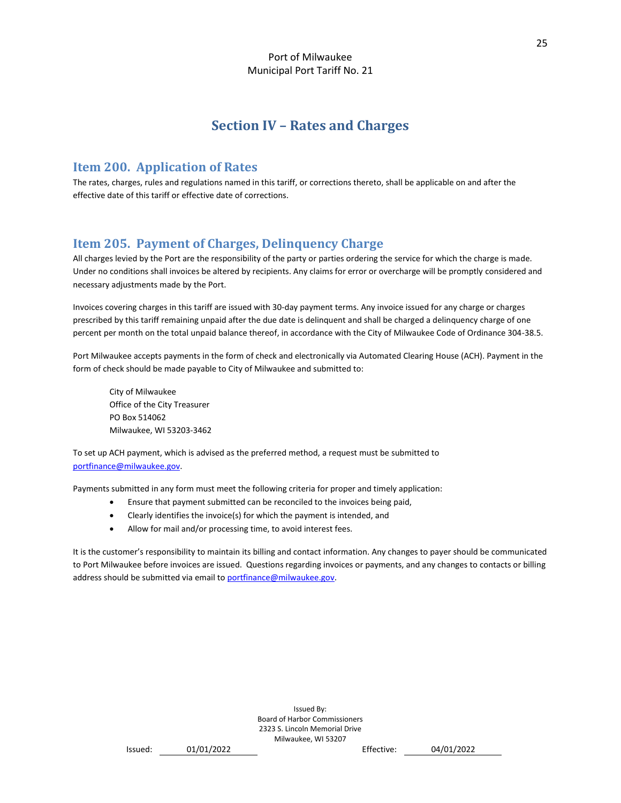# **Section IV – Rates and Charges**

# <span id="page-25-1"></span><span id="page-25-0"></span>**Item 200. Application of Rates**

The rates, charges, rules and regulations named in this tariff, or corrections thereto, shall be applicable on and after the effective date of this tariff or effective date of corrections.

# <span id="page-25-2"></span>**Item 205. Payment of Charges, Delinquency Charge**

All charges levied by the Port are the responsibility of the party or parties ordering the service for which the charge is made. Under no conditions shall invoices be altered by recipients. Any claims for error or overcharge will be promptly considered and necessary adjustments made by the Port.

Invoices covering charges in this tariff are issued with 30-day payment terms. Any invoice issued for any charge or charges prescribed by this tariff remaining unpaid after the due date is delinquent and shall be charged a delinquency charge of one percent per month on the total unpaid balance thereof, in accordance with the City of Milwaukee Code of Ordinance 304-38.5.

Port Milwaukee accepts payments in the form of check and electronically via Automated Clearing House (ACH). Payment in the form of check should be made payable to City of Milwaukee and submitted to:

City of Milwaukee Office of the City Treasurer PO Box 514062 Milwaukee, WI 53203-3462

To set up ACH payment, which is advised as the preferred method, a request must be submitted to [portfinance@milwaukee.gov.](mailto:portfinance@milwaukee.gov)

Payments submitted in any form must meet the following criteria for proper and timely application:

- Ensure that payment submitted can be reconciled to the invoices being paid,
- Clearly identifies the invoice(s) for which the payment is intended, and
- Allow for mail and/or processing time, to avoid interest fees.

It is the customer's responsibility to maintain its billing and contact information. Any changes to payer should be communicated to Port Milwaukee before invoices are issued. Questions regarding invoices or payments, and any changes to contacts or billing address should be submitted via email t[o portfinance@milwaukee.gov.](mailto:portfinance@milwaukee.gov)

> Issued By: Board of Harbor Commissioners 2323 S. Lincoln Memorial Drive Milwaukee, WI 53207

```
Issued: 01/01/2022 Effective: 04/01/2022
```
25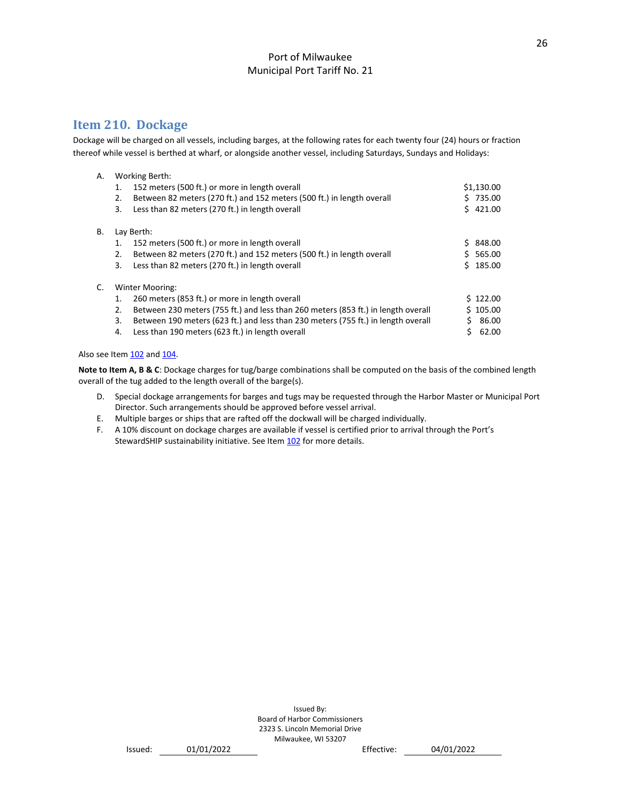# <span id="page-26-0"></span>**Item 210. Dockage**

Dockage will be charged on all vessels, including barges, at the following rates for each twenty four (24) hours or fraction thereof while vessel is berthed at wharf, or alongside another vessel, including Saturdays, Sundays and Holidays:

| А. |    | <b>Working Berth:</b>                                                             |    |            |
|----|----|-----------------------------------------------------------------------------------|----|------------|
|    | 1. | 152 meters (500 ft.) or more in length overall                                    |    | \$1,130.00 |
|    | 2. | Between 82 meters (270 ft.) and 152 meters (500 ft.) in length overall            |    | \$735.00   |
|    | 3. | Less than 82 meters (270 ft.) in length overall                                   |    | \$421.00   |
| В. |    | Lay Berth:                                                                        |    |            |
|    | 1. | 152 meters (500 ft.) or more in length overall                                    | S. | 848.00     |
|    | 2. | Between 82 meters (270 ft.) and 152 meters (500 ft.) in length overall            |    | \$565.00   |
|    | 3. | Less than 82 meters (270 ft.) in length overall                                   |    | \$185.00   |
| C. |    | <b>Winter Mooring:</b>                                                            |    |            |
|    | 1. | 260 meters (853 ft.) or more in length overall                                    |    | \$122.00   |
|    | 2. | Between 230 meters (755 ft.) and less than 260 meters (853 ft.) in length overall |    | \$105.00   |
|    | 3. | Between 190 meters (623 ft.) and less than 230 meters (755 ft.) in length overall |    | 86.00      |
|    | 4. | Less than 190 meters (623 ft.) in length overall                                  |    | 62.00      |

Also see Ite[m 102](#page-17-1) and [104.](#page-18-1)

**Note to Item A, B & C**: Dockage charges for tug/barge combinations shall be computed on the basis of the combined length overall of the tug added to the length overall of the barge(s).

- D. Special dockage arrangements for barges and tugs may be requested through the Harbor Master or Municipal Port Director. Such arrangements should be approved before vessel arrival.
- E. Multiple barges or ships that are rafted off the dockwall will be charged individually.
- <span id="page-26-1"></span>F. A 10% discount on dockage charges are available if vessel is certified prior to arrival through the Port's StewardSHIP sustainability initiative. See Item [102](#page-17-1) for more details.

```
Issued: 01/01/2022 Effective: 04/01/2022
```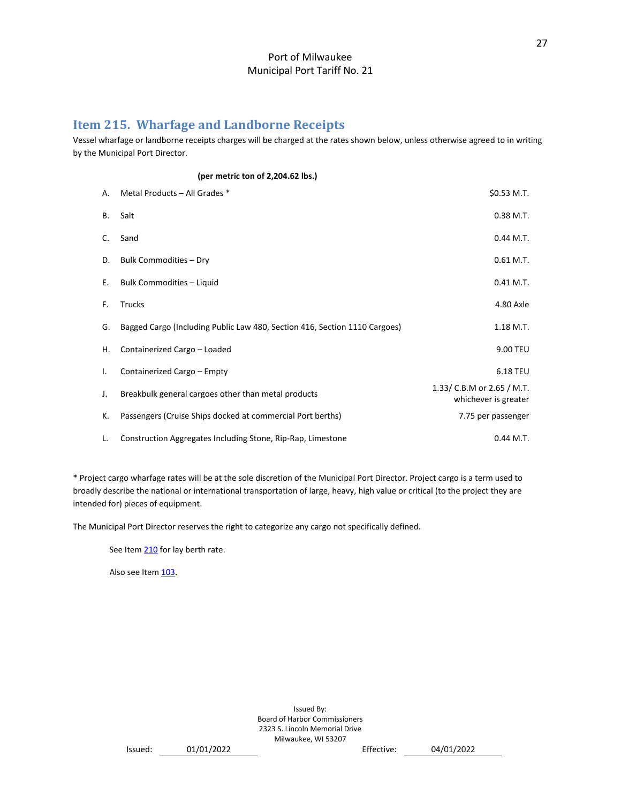# <span id="page-27-0"></span>**Item 215. Wharfage and Landborne Receipts**

Vessel wharfage or landborne receipts charges will be charged at the rates shown below, unless otherwise agreed to in writing by the Municipal Port Director.

|           | (per metric ton of 2,204.62 lbs.)                                          |                                                    |
|-----------|----------------------------------------------------------------------------|----------------------------------------------------|
| А.        | Metal Products - All Grades *                                              | \$0.53 M.T.                                        |
| <b>B.</b> | Salt                                                                       | 0.38 M.T.                                          |
| C.        | Sand                                                                       | $0.44$ M.T.                                        |
| D.        | Bulk Commodities - Dry                                                     | $0.61$ M.T.                                        |
| Ε.        | Bulk Commodities - Liquid                                                  | $0.41$ M.T.                                        |
| F.        | <b>Trucks</b>                                                              | 4.80 Axle                                          |
| G.        | Bagged Cargo (Including Public Law 480, Section 416, Section 1110 Cargoes) | 1.18 M.T.                                          |
| Η.        | Containerized Cargo - Loaded                                               | 9.00 TEU                                           |
| Ι.        | Containerized Cargo - Empty                                                | 6.18 TEU                                           |
| J.        | Breakbulk general cargoes other than metal products                        | 1.33/ C.B.M or 2.65 / M.T.<br>whichever is greater |
| К.        | Passengers (Cruise Ships docked at commercial Port berths)                 | 7.75 per passenger                                 |
| L.        | Construction Aggregates Including Stone, Rip-Rap, Limestone                | $0.44$ M.T.                                        |

\* Project cargo wharfage rates will be at the sole discretion of the Municipal Port Director. Project cargo is a term used to broadly describe the national or international transportation of large, heavy, high value or critical (to the project they are intended for) pieces of equipment.

The Municipal Port Director reserves the right to categorize any cargo not specifically defined.

See Item [210](#page-26-0) for lay berth rate.

Also see Item [103.](#page-18-0)

Issued By: Board of Harbor Commissioners 2323 S. Lincoln Memorial Drive Milwaukee, WI 53207

Issued: 01/01/2022 Effective: 04/01/2022

27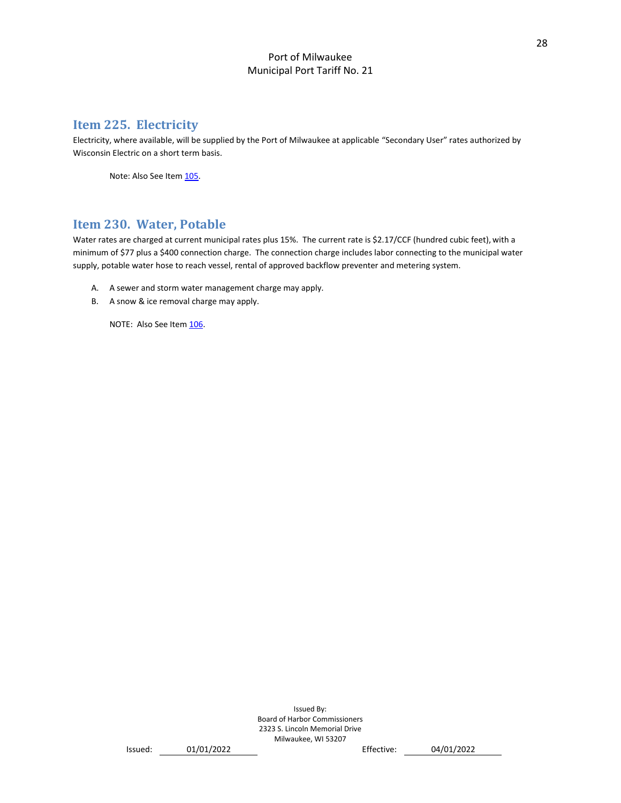# <span id="page-28-0"></span>**Item 225. Electricity**

Electricity, where available, will be supplied by the Port of Milwaukee at applicable "Secondary User" rates authorized by Wisconsin Electric on a short term basis.

Note: Also See Item [105.](#page-18-2)

# <span id="page-28-1"></span>**Item 230. Water, Potable**

Water rates are charged at current municipal rates plus 15%. The current rate is \$2.17/CCF (hundred cubic feet), with a minimum of \$77 plus a \$400 connection charge. The connection charge includes labor connecting to the municipal water supply, potable water hose to reach vessel, rental of approved backflow preventer and metering system.

- A. A sewer and storm water management charge may apply.
- B. A snow & ice removal charge may apply.

NOTE: Also See Ite[m 106.](#page-18-3)

```
Issued: 01/01/2022 Effective: 04/01/2022
```
28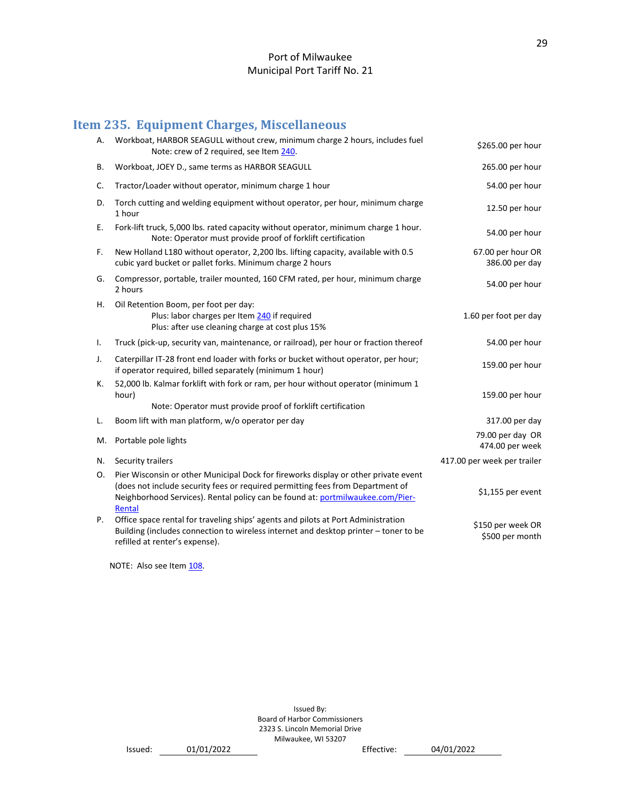# <span id="page-29-0"></span>**Item 235. Equipment Charges, Miscellaneous**

| А. | Workboat, HARBOR SEAGULL without crew, minimum charge 2 hours, includes fuel<br>Note: crew of 2 required, see Item 240.                                                                                                                                           | \$265.00 per hour                    |
|----|-------------------------------------------------------------------------------------------------------------------------------------------------------------------------------------------------------------------------------------------------------------------|--------------------------------------|
| В. | Workboat, JOEY D., same terms as HARBOR SEAGULL                                                                                                                                                                                                                   | 265.00 per hour                      |
| C. | Tractor/Loader without operator, minimum charge 1 hour                                                                                                                                                                                                            | 54.00 per hour                       |
| D. | Torch cutting and welding equipment without operator, per hour, minimum charge<br>1 hour                                                                                                                                                                          | 12.50 per hour                       |
| Ε. | Fork-lift truck, 5,000 lbs. rated capacity without operator, minimum charge 1 hour.<br>Note: Operator must provide proof of forklift certification                                                                                                                | 54.00 per hour                       |
| F. | New Holland L180 without operator, 2,200 lbs. lifting capacity, available with 0.5<br>cubic yard bucket or pallet forks. Minimum charge 2 hours                                                                                                                   | 67.00 per hour OR<br>386.00 per day  |
| G. | Compressor, portable, trailer mounted, 160 CFM rated, per hour, minimum charge<br>2 hours                                                                                                                                                                         | 54.00 per hour                       |
| Η. | Oil Retention Boom, per foot per day:<br>Plus: labor charges per Item 240 if required<br>Plus: after use cleaning charge at cost plus 15%                                                                                                                         | 1.60 per foot per day                |
| Τ. | Truck (pick-up, security van, maintenance, or railroad), per hour or fraction thereof                                                                                                                                                                             | 54.00 per hour                       |
| J. | Caterpillar IT-28 front end loader with forks or bucket without operator, per hour;<br>if operator required, billed separately (minimum 1 hour)                                                                                                                   | 159.00 per hour                      |
| К. | 52,000 lb. Kalmar forklift with fork or ram, per hour without operator (minimum 1<br>hour)<br>Note: Operator must provide proof of forklift certification                                                                                                         | 159.00 per hour                      |
| L. | Boom lift with man platform, w/o operator per day                                                                                                                                                                                                                 | 317.00 per day                       |
| M. | Portable pole lights                                                                                                                                                                                                                                              | 79.00 per day OR<br>474.00 per week  |
| N. | Security trailers                                                                                                                                                                                                                                                 | 417.00 per week per trailer          |
| 0. | Pier Wisconsin or other Municipal Dock for fireworks display or other private event<br>(does not include security fees or required permitting fees from Department of<br>Neighborhood Services). Rental policy can be found at: portmilwaukee.com/Pier-<br>Rental | \$1,155 per event                    |
| P. | Office space rental for traveling ships' agents and pilots at Port Administration<br>Building (includes connection to wireless internet and desktop printer - toner to be<br>refilled at renter's expense).                                                       | \$150 per week OR<br>\$500 per month |

NOTE: Also see Item 108.